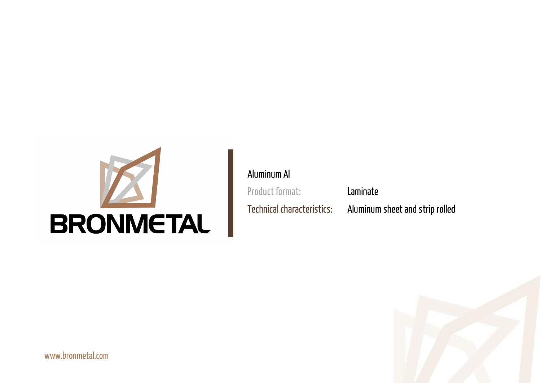www.bronmetal.com





# Aluminum Al

Product format: Laminate

Technical characteristics: Aluminum sheet and strip rolled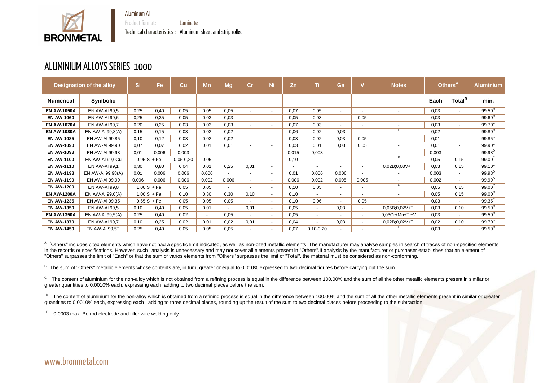

Product format: Laminate Technical characteristics : Aluminum sheet and strip rolled

#### ALUMINIUM ALLOYS SERIES 1000

|                    | <b>Designation of the alloy</b> | Si    | Fe             | Cu          | <b>Mn</b> | <b>Mg</b>                | Cr                       | Ni                       | Zn    | Ti                       | Ga     |                          | <b>Notes</b>             |       | Others <sup>A</sup> | <b>Aluminium</b>   |
|--------------------|---------------------------------|-------|----------------|-------------|-----------|--------------------------|--------------------------|--------------------------|-------|--------------------------|--------|--------------------------|--------------------------|-------|---------------------|--------------------|
| <b>Numerical</b>   | <b>Symbolic</b>                 |       |                |             |           |                          |                          |                          |       |                          |        |                          |                          | Each  | Total <sup>B</sup>  | mín.               |
| <b>EN AW-1050A</b> | <b>EN AW-AI 99,5</b>            | 0,25  | 0,40           | 0,05        | 0,05      | 0,05                     | $\sim$                   | $\sim$                   | 0,07  | 0,05                     | $\sim$ |                          | $\blacksquare$           | 0,03  | $\sim$              | $99.50^{\circ}$    |
| <b>EN AW-1060</b>  | EN AW-AI 99,6                   | 0,25  | 0,35           | 0,05        | 0,03      | 0,03                     | $\sim$                   | $\sim$                   | 0,05  | 0,03                     | $\sim$ | 0,05                     | $\overline{\phantom{a}}$ | 0,03  | $\blacksquare$      | $99.60^{\circ}$    |
| <b>EN AW-1070A</b> | EN AW-AI 99,7                   | 0,20  | 0,25           | 0,03        | 0,03      | 0,03                     | $\overline{\phantom{a}}$ | $\overline{\phantom{a}}$ | 0.07  | 0,03                     | $\sim$ | $\blacksquare$           | $\overline{\phantom{a}}$ | 0,03  | $\blacksquare$      | 99.70 <sup>C</sup> |
| <b>EN AW-1080A</b> | EN AW-AI 99,8(A)                | 0,15  | 0,15           | 0,03        | 0,02      | 0,02                     | $\overline{\phantom{a}}$ | $\sim$                   | 0,06  | 0,02                     | 0,03   |                          | E                        | 0,02  | $\blacksquare$      | $99.80^{\circ}$    |
| <b>EN AW-1085</b>  | EN AW-AI 99,85                  | 0,10  | 0,12           | 0.03        | 0,02      | 0,02                     | $\overline{\phantom{0}}$ | $\sim$                   | 0.03  | 0,02                     | 0,03   | 0,05                     | $\overline{\phantom{a}}$ | 0,01  | $\blacksquare$      | $99.85^{\circ}$    |
| <b>EN AW-1090</b>  | EN AW-AI 99,90                  | 0,07  | 0,07           | 0,02        | 0,01      | 0,01                     |                          | $\sim$                   | 0,03  | 0,01                     | 0,03   | 0,05                     | $\overline{\phantom{a}}$ | 0,01  | $\blacksquare$      | 99.90 <sup>C</sup> |
| <b>EN AW-1098</b>  | EN AW-AI 99,98                  | 0,01  | 0,006          | 0,003       | ۰         | $\overline{\phantom{0}}$ |                          | $\sim$                   | 0,015 | 0,003                    | $\sim$ |                          |                          | 0,003 | $\blacksquare$      | $99.98^{D}$        |
| <b>EN AW-1100</b>  | EN AW-AI 99,0Cu                 |       | $0,95 Si + Fe$ | $0,05-0,20$ | 0,05      | $\overline{a}$           |                          | $\blacksquare$           | 0,10  | $\overline{\phantom{a}}$ | $\sim$ |                          | E                        | 0,05  | 0,15                | 99.00 <sup>C</sup> |
| <b>EN AW-1110</b>  | EN AW-AI 99,1                   | 0,30  | 0,80           | 0,04        | 0,01      | 0,25                     | 0,01                     | $\blacksquare$           |       | $\blacksquare$           |        |                          | 0,02B;0,03V+Ti           | 0.03  | 0,15                | $99.10^{\circ}$    |
| <b>EN AW-1198</b>  | EN AW-AI 99,98(A)               | 0,01  | 0,006          | 0,006       | 0,006     | $\sim$                   | $\overline{\phantom{0}}$ | $\sim$                   | 0,01  | 0,006                    | 0,006  | $\overline{\phantom{a}}$ | $\blacksquare$           | 0,003 | $\sim$              | $99.98^{D}$        |
| <b>EN AW-1199</b>  | EN AW-AI 99,99                  | 0,006 | 0,006          | 0,006       | 0,002     | 0,006                    | $\sim$                   | $\sim$                   | 0,006 | 0,002                    | 0,005  | 0,005                    | $\overline{\phantom{a}}$ | 0,002 | $\sim$              | $99.99^{D}$        |
| <b>EN AW-1200</b>  | EN AW-AI 99,0                   |       | $1,00$ Si + Fe | 0.05        | 0,05      | $\sim$                   |                          | $\blacksquare$           | 0,10  | 0,05                     | $\sim$ | $\blacksquare$           | Е                        | 0.05  | 0,15                | 99.00 <sup>C</sup> |
| <b>EN AW-1200A</b> | EN AW-AI 99,0(A)                |       | $1,00$ Si + Fe | 0,10        | 0,30      | 0,30                     | 0,10                     | $\sim$                   | 0,10  | $\sim$                   | $\sim$ |                          | $\blacksquare$           | 0,05  | 0,15                | $99.00^{\circ}$    |
| <b>EN AW-1235</b>  | EN AW-AI 99,35                  |       | $0,65$ Si + Fe | 0.05        | 0.05      | 0,05                     |                          | $\sim$                   | 0,10  | 0.06                     | $\sim$ | 0,05                     |                          | 0,03  | $\sim$              | $99.35^{\circ}$    |
| <b>EN AW-1350</b>  | <b>EN AW-AI 99,5</b>            | 0,10  | 0,40           | 0,05        | 0,01      | $\sim$                   | 0,01                     | $\blacksquare$           | 0,05  | $\overline{\phantom{a}}$ | 0,03   | $\overline{\phantom{a}}$ | 0,05B;0,02V+Ti           | 0,03  | 0,10                | $99.50^{\circ}$    |
| <b>EN AW-1350A</b> | EN AW-AI 99,5(A)                | 0,25  | 0,40           | 0,02        | $\sim$    | 0,05                     |                          | $\blacksquare$           | 0,05  | $\overline{\phantom{a}}$ | $\sim$ |                          | 0,03Cr+Mn+Ti+V           | 0,03  | $\blacksquare$      | $99.50^{\circ}$    |
| <b>EN AW-1370</b>  | EN AW-AI 99,7                   | 0,10  | 0,25           | 0,02        | 0.01      | 0,02                     | 0,01                     | $\blacksquare$           | 0,04  | $\overline{\phantom{a}}$ | 0,03   | $\sim$                   | 0,02B;0,02V+Ti           | 0,02  | 0,10                | $99.70^{\circ}$    |
| <b>EN AW-1450</b>  | <b>EN AW-AI 99,5Ti</b>          | 0,25  | 0,40           | 0,05        | 0,05      | 0.05                     |                          |                          | 0,07  | $0,10-0,20$              | $\sim$ |                          |                          | 0.03  |                     | $99.50^{\circ}$    |

<sup>A</sup> Others" includes cited elements which have not had a specific limit indicated, as well as non-cited metallic elements. The manufacturer may analyse samples in search of traces of non-specified elements in the records or specifications. However, such analysis is unnecessary and may not cover all elements present in "Others".If analysis by the manufacturer or purchaser establishes that an element of "Others" surpasses the limit of "Each" or that the sum of varios elements from "Others" surpasses the limit of "Total", the material must be considered as non-conforming.

B The sum of "Others" metallic elements whose contents are, in turn, greater or equal to 0.010% expressed to two decimal figures before carrying out the sum.

 $\rm{^{c}}$  The content of aluminium for the non-alloy which is not obtained from a refining process is equal in the difference between 100.00% and the sum of all the other metallic elements present in similar or greater quantities to 0,0010% each, expressing each adding to two decimal places before the sum.

<sup>D</sup> The content of aluminium for the non-alloy which is obtained from a refining process is equal in the difference between 100.00% and the sum of all the other metallic elements present in similar or greater quantities to 0,0010% each, expressing each adding to three decimal places, rounding up the result of the sum to two decimal places before proceeding to the subtraction.

E 0.0003 max. Be rod electrode and filler wire welding only.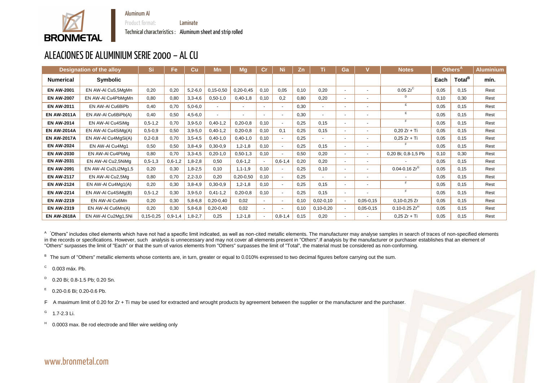

Product format: Laminate

Technical characteristics : Aluminum sheet and strip rolled

# ALEACIONES DE ALUMINIUM SERIE 2000 – AL CU

|                    | <b>Designation of the alloy</b> | <b>Si</b>       | Fe            | Cu        | Mn          | <b>Mg</b>     | $\mathbf{Cr}$ | Ni                       | <b>Zn</b> | Τi          | Ga     |                          | <b>Notes</b>                  |      | Others <sup>A</sup> | <b>Aluminium</b> |
|--------------------|---------------------------------|-----------------|---------------|-----------|-------------|---------------|---------------|--------------------------|-----------|-------------|--------|--------------------------|-------------------------------|------|---------------------|------------------|
| <b>Numerical</b>   | <b>Symbolic</b>                 |                 |               |           |             |               |               |                          |           |             |        |                          |                               | Each | Total <sup>B</sup>  | mín.             |
| <b>EN AW-2001</b>  | EN AW-AI Cu5,5MgMn              | 0,20            | 0,20          | $5,2-6,0$ | $0,15-0,50$ | $0,20-0,45$   | 0,10          | 0,05                     | 0,10      | 0,20        |        | $\sim$                   | $0.05 Zr^C$                   | 0,05 | 0,15                | Rest             |
| <b>EN AW-2007</b>  | EN AW-AI Cu4PbMgMn              | 0,80            | 0,80          | $3,3-4,6$ | $0,50-1,0$  | $0,40-1,8$    | 0,10          | 0,2                      | 0,80      | 0,20        | $\sim$ | $\sim$                   | D                             | 0,10 | 0,30                | Rest             |
| <b>EN AW-2011</b>  | EN AW-AI Cu6BiPb                | 0,40            | 0,70          | $5,0-6,0$ | $\sim$      | $\sim$        |               | $\overline{\phantom{a}}$ | 0,30      | $\sim$      |        | $\sim$                   | E                             | 0,05 | 0,15                | Rest             |
| <b>EN AW-2011A</b> | EN AW-AI Cu6BiPb(A)             | 0,40            | 0.50          | $4,5-6,0$ | $\sim$      | $\sim$        |               | $\blacksquare$           | 0,30      | $\sim$      | $\sim$ | $\sim$                   | E                             | 0,05 | 0,15                | Rest             |
| <b>EN AW-2014</b>  | EN AW-AI Cu4SiMg                | $0, 5 - 1, 2$   | 0,70          | $3,9-5,0$ | $0,40-1,2$  | $0,20-0,8$    | 0,10          | $\blacksquare$           | 0,25      | 0,15        | $\sim$ | $\sim$                   | F                             | 0,05 | 0,15                | Rest             |
| <b>EN AW-2014A</b> | EN AW-AI Cu4SiMg(A)             | $0, 5 - 0, 9$   | 0,50          | $3,9-5,0$ | $0,40-1,2$  | $0,20-0,8$    | 0,10          | 0,1                      | 0,25      | 0,15        |        | $\blacksquare$           | $0,20 Zr + Ti$                | 0,05 | 0,15                | Rest             |
| <b>EN AW-2017A</b> | EN AW-AI Cu4MgSi(A)             | $0, 2 - 0, 8$   | 0,70          | $3,5-4,5$ | $0,40-1,0$  | $0,40-1,0$    | 0,10          |                          | 0,25      | $\sim$      |        | $\blacksquare$           | $0,25 Zr + Ti$                | 0,05 | 0,15                | Rest             |
| <b>EN AW-2024</b>  | EN AW-AI Cu4Mg1                 | 0,50            | 0,50          | $3,8-4,9$ | $0,30-0,9$  | $1, 2 - 1, 8$ | 0,10          |                          | 0,25      | 0,15        |        | $\sim$                   |                               | 0,05 | 0,15                | Rest             |
| <b>EN AW-2030</b>  | EN AW-AI Cu4PbMg                | 0,80            | 0,70          | $3,3-4,5$ | $0,20-1,0$  | $0,50-1,3$    | 0,10          |                          | 0,50      | 0,20        |        | $\sim$                   | 0,20 Bi; 0,8-1,5 Pb           | 0,10 | 0,30                | Rest             |
| <b>EN AW-2031</b>  | EN AW-AI Cu2,5NiMg              | $0, 5 - 1, 3$   | $0,6-1,2$     | $1,8-2,8$ | 0,50        | $0,6-1,2$     |               | $0,6-1,4$                | 0,20      | 0,20        | $\sim$ | $\sim$                   |                               | 0,05 | 0,15                | Rest             |
| <b>EN AW-2091</b>  | EN AW-AI Cu2Li2Mg1,5            | 0,20            | 0,30          | $1,8-2,5$ | 0,10        | $1, 1 - 1, 9$ | 0,10          |                          | 0,25      | 0,10        | . —    | $\sim$                   | $0.04$ -0.16 Zr $^\mathrm{G}$ | 0,05 | 0,15                | Rest             |
| <b>EN AW-2117</b>  | EN AW-AI Cu2,5Mg                | 0,80            | 0,70          | $2,2-3,0$ | 0,20        | $0,20-0,50$   | 0,10          | $\blacksquare$           | 0,25      | $\sim$      | $\sim$ | $\blacksquare$           |                               | 0,05 | 0,15                | Rest             |
| <b>EN AW-2124</b>  | EN AW-AI Cu4Mg1(A)              | 0,20            | 0,30          | $3,8-4,9$ | $0,30-0,9$  | $1, 2 - 1, 8$ | 0,10          |                          | 0,25      | 0,15        |        | $\overline{\phantom{a}}$ | F                             | 0,05 | 0,15                | Rest             |
| <b>EN AW-2214</b>  | EN AW-AI Cu4SiMg(B)             | $0, 5 - 1, 2$   | 0,30          | $3,9-5,0$ | $0,41-1,2$  | $0,20-0,8$    | 0,10          |                          | 0,25      | 0,15        | $\sim$ | $\overline{\phantom{a}}$ | E                             | 0,05 | 0,15                | Rest             |
| <b>EN AW-2219</b>  | EN AW-AI Cu6Mn                  | 0,20            | 0,30          | $5,8-6,8$ | $0,20-0,40$ | 0,02          | $\sim$        | $\overline{\phantom{a}}$ | 0,10      | $0,02-0,10$ |        | $0,05-0,15$              | $0,10-0,25$ Zr                | 0,05 | 0,15                | Rest             |
| <b>EN AW-2319</b>  | EN AW-AI Cu6Mn(A)               | 0,20            | 0,30          | $5,8-6,8$ | $0,20-0,40$ | 0,02          | $\sim$        |                          | 0,10      | $0,10-0,20$ |        | $0,05-0,15$              | $0.10 - 0.25$ Zr <sup>H</sup> | 0,05 | 0,15                | Rest             |
| <b>EN AW-2618A</b> | EN AW-AI Cu2Mg1,5Ni             | $0, 15 - 0, 25$ | $0, 9 - 1, 4$ | $1,8-2,7$ | 0,25        | $1, 2 - 1, 8$ |               | $0, 8 - 1, 4$            | 0,15      | 0,20        |        | $\blacksquare$           | $0,25 Zr + Ti$                | 0,05 | 0,15                | Rest             |

A "Others" includes cited elements which have not had a specific limit indicated, as well as non-cited metallic elements. The manufacturer may analyse samples in search of traces of non-specified elements in the records or specifications. However, such analysis is unnecessary and may not cover all elements present in "Others". If analysis by the manufacturer or purchaser establishes that an element of "Others" surpasses the limit of "Each" or that the sum of varios elements from "Others" surpasses the limit of "Total", the material must be considered as non-conforming.

B The sum of "Others" metallic elements whose contents are, in turn, greater or equal to 0.010% expressed to two decimal figures before carrying out the sum.

- C 0.003 máx. Pb.
- D 0.20 Bi; 0.8-1.5 Pb; 0.20 Sn.
- E 0.20-0.6 Bi; 0.20-0.6 Pb.

F A maximum limit of 0.20 for Zr + Ti may be used for extracted and wrought products by agreement between the supplier or the manufacturer and the purchaser.

G 1.7-2.3 Li.

H 0.0003 max. Be rod electrode and filler wire welding only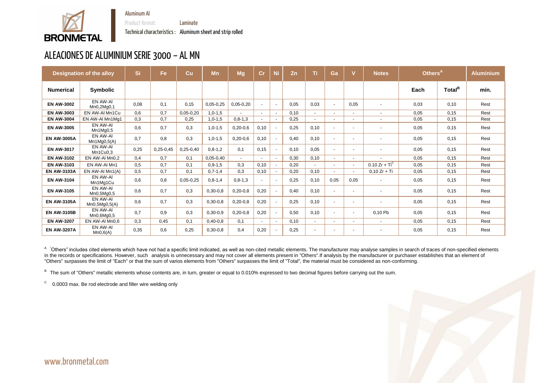

Product format: Laminate Technical characteristics : Aluminum sheet and strip rolled



#### ALEACIONES DE ALUMINIUM SERIE 3000 – AL MN

|                    | <b>Designation of the alloy</b> | Si   | <b>Fe</b>   | Cu            | <b>Mn</b>     | <b>Mg</b>     | Cr                       | <b>Ni</b>                | Zn   | Ti             | Ga                       |                          | <b>Notes</b>                  | Others <sup>A</sup> |                    | <b>Aluminium</b> |
|--------------------|---------------------------------|------|-------------|---------------|---------------|---------------|--------------------------|--------------------------|------|----------------|--------------------------|--------------------------|-------------------------------|---------------------|--------------------|------------------|
| <b>Numerical</b>   | <b>Symbolic</b>                 |      |             |               |               |               |                          |                          |      |                |                          |                          |                               | Each                | Total <sup>B</sup> | mín.             |
| <b>EN AW-3002</b>  | EN AW-AI<br>Mn0,2Mg0,1          | 0,08 | 0,1         | 0,15          | $0,05-0,25$   | $0,05-0,20$   | $\blacksquare$           | $\overline{\phantom{a}}$ | 0,05 | 0,03           | $\sim$                   | 0,05                     |                               | 0,03                | 0,10               | Rest             |
| <b>EN AW-3003</b>  | EN AW-AI Mn1Cu                  | 0,6  | 0,7         | $0,05-0,20$   | $1,0-1,5$     |               | $\overline{\phantom{a}}$ |                          | 0,10 | $\blacksquare$ | $\overline{\phantom{0}}$ | $\overline{\phantom{a}}$ | $\overline{\phantom{a}}$      | 0,05                | 0,15               | Rest             |
| <b>EN AW-3004</b>  | EN AW-AI Mn1Mg1                 | 0,3  | 0,7         | 0,25          | $1,0-1,5$     | $0, 8 - 1, 3$ | $\sim$                   |                          | 0,25 | $\sim$         | $\sim$                   | $\sim$                   | $\sim$                        | 0,05                | 0,15               | Rest             |
| <b>EN AW-3005</b>  | EN AW-AI<br>Mn1Mq0,5            | 0,6  | 0,7         | 0,3           | $1,0-1,5$     | $0,20-0,6$    | 0, 10                    |                          | 0,25 | 0,10           | $\sim$                   | $\sim$                   |                               | 0,05                | 0,15               | Rest             |
| <b>EN AW-3005A</b> | EN AW-AI<br>Mn1Mg0,5(A)         | 0,7  | 0,8         | 0,3           | $1,0-1,5$     | $0,20-0,6$    | 0, 10                    |                          | 0,40 | 0,10           | $\sim$                   | $\sim$                   |                               | 0,05                | 0,15               | Rest             |
| <b>EN AW-3017</b>  | EN AW-AI<br>Mn1Cu0,3            | 0,25 | $0,25-0,45$ | $0,25-0,40$   | $0, 8 - 1, 2$ | 0,1           | 0,15                     |                          | 0,10 | 0,05           | $\sim$                   |                          |                               | 0,05                | 0,15               | Rest             |
| <b>EN AW-3102</b>  | EN AW-AI Mn0,2                  | 0,4  | 0,7         | 0,1           | $0,05-0,40$   | $\sim$        | $\sim$                   | $\overline{\phantom{a}}$ | 0,30 | 0,10           | $\sim$                   | $\sim$                   |                               | 0.05                | 0,15               | Rest             |
| <b>EN AW-3103</b>  | EN AW-AI Mn1                    | 0.5  | 0,7         | 0,1           | $0, 9 - 1, 5$ | 0,3           | 0,10                     |                          | 0,20 | $\sim$         | $\sim$                   | $\sim$                   | 0.10 Zr + $Ti^{\overline{C}}$ | 0,05                | 0,15               | Rest             |
| <b>EN AW-3103A</b> | EN AW-AI $Mn1(A)$               | 0,5  | 0,7         | 0,1           | $0,7-1,4$     | 0,3           | 0,10                     |                          | 0,20 | 0,10           | $\sim$                   | $\sim$                   | $0,10 Zr + Ti$                | 0,05                | 0,15               | Rest             |
| <b>EN AW-3104</b>  | EN AW-AI<br>Mn1Mg1Cu            | 0,6  | 0,8         | $0,05 - 0,25$ | $0,8-1,4$     | $0, 8 - 1, 3$ | $\blacksquare$           |                          | 0,25 | 0,10           | 0,05                     | 0,05                     |                               | 0,05                | 0,15               | Rest             |
| <b>EN AW-3105</b>  | EN AW-AI<br>Mn0,5Mq0,5          | 0,6  | 0,7         | 0,3           | $0,30-0,8$    | $0,20-0,8$    | 0,20                     |                          | 0,40 | 0,10           | $\sim$                   | $\sim$                   |                               | 0,05                | 0,15               | Rest             |
| <b>EN AW-3105A</b> | EN AW-AI<br>Mn0,5Mg0,5(A)       | 0,6  | 0,7         | 0,3           | $0,30-0,8$    | $0,20-0,8$    | 0,20                     |                          | 0,25 | 0,10           | $\sim$                   | $\sim$                   |                               | 0,05                | 0,15               | Rest             |
| <b>EN AW-3105B</b> | EN AW-AI<br>Mn0,6Mg0,5          | 0,7  | 0,9         | 0,3           | $0,30-0,9$    | $0,20-0,8$    | 0,20                     |                          | 0,50 | 0,10           | $\sim$                   | $\sim$                   | 0,10 Pb                       | 0,05                | 0,15               | Rest             |
| <b>EN AW-3207</b>  | EN AW-AI Mn0.6                  | 0,3  | 0,45        | 0,1           | $0,40-0,8$    | 0,1           | $\overline{\phantom{a}}$ | $\overline{\phantom{a}}$ | 0,10 | $\sim$         | $\sim$                   | ۰.                       | $\sim$                        | 0,05                | 0,15               | Rest             |
| <b>EN AW-3207A</b> | EN AW-AI<br>Mn0,6(A)            | 0,35 | 0,6         | 0,25          | $0,30-0,8$    | 0,4           | 0,20                     |                          | 0,25 | $\blacksquare$ | $\overline{\phantom{a}}$ | $\sim$                   |                               | 0,05                | 0,15               | Rest             |

<sup>A</sup> "Others" includes cited elements which have not had a specific limit indicated, as well as non-cited metallic elements. The manufacturer may analyse samples in search of traces of non-specified elements in the records or specifications. However, such analysis is unnecessary and may not cover all elements present in "Others". If analysis by the manufacturer or purchaser establishes that an element of "Others" surpasses the limit of "Each" or that the sum of varios elements from "Others" surpasses the limit of "Total", the material must be considered as non-conforming.

B The sum of "Others" metallic elements whose contents are, in turn, greater or equal to 0.010% expressed to two decimal figures before carrying out the sum.

C 0.0003 max. Be rod electrode and filler wire welding only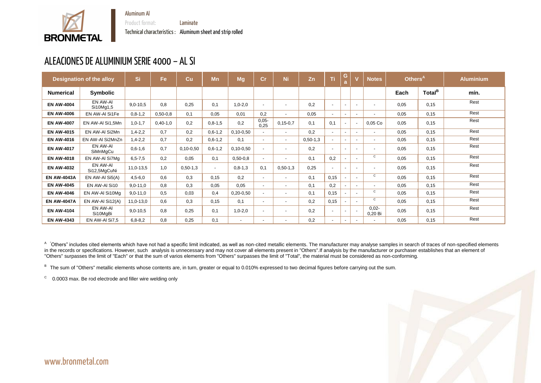Product format: Laminate



Technical characteristics : Aluminum sheet and strip rolled



# ALEACIONES DE ALUMINIUM SERIE 4000 – AL SI

|                    | <b>Designation of the alloy</b> | Si            | Fe         | Cu          | Mn        | <b>Mg</b>       | Cr                       | <b>Ni</b>                | Zn         | Ti     | G      |        | <b>Notes</b>       | Others <sup>A</sup> |                    | <b>Aluminium</b> |
|--------------------|---------------------------------|---------------|------------|-------------|-----------|-----------------|--------------------------|--------------------------|------------|--------|--------|--------|--------------------|---------------------|--------------------|------------------|
| <b>Numerical</b>   | <b>Symbolic</b>                 |               |            |             |           |                 |                          |                          |            |        |        |        |                    | Each                | Total <sup>B</sup> | mín.             |
| <b>EN AW-4004</b>  | EN AW-AI<br>Si10Mg1,5           | $9,0-10,5$    | 0,8        | 0,25        | 0,1       | $1,0-2,0$       | $\sim$                   | $\blacksquare$           | 0,2        | $\sim$ | $\sim$ | $\sim$ |                    | 0,05                | 0,15               | Rest             |
| <b>EN AW-4006</b>  | EN AW-AI Si1Fe                  | $0, 8 - 1, 2$ | $0,50-0,8$ | 0,1         | 0,05      | 0.01            | 0,2                      | $\sim$                   | 0,05       | $\sim$ | $\sim$ | $\sim$ |                    | 0,05                | 0,15               | Rest             |
| <b>EN AW-4007</b>  | EN AW-AI Si1,5Mn                | $1,0-1,7$     | $0,40-1,0$ | 0,2         | $0,8-1,5$ | 0,2             | $0,05-$<br>0,25          | $0, 15 - 0, 7$           | 0,1        | 0,1    |        |        | $0,05$ Co          | 0,05                | 0,15               | Rest             |
| <b>EN AW-4015</b>  | EN AW-AI Si2Mn                  | $1,4-2,2$     | 0,7        | 0,2         | $0,6-1,2$ | $0, 10 - 0, 50$ |                          | $\sim$                   | 0,2        | $\sim$ | $\sim$ | $\sim$ | $\blacksquare$     | 0,05                | 0,15               | Rest             |
| <b>EN AW-4016</b>  | EN AW-AI Si2MnZn                | $1,4-2,2$     | 0,7        | 0,2         | $0,6-1,2$ | 0,1             | $\sim$                   | $\sim$                   | $0,50-1,3$ | $\sim$ | $\sim$ | $\sim$ |                    | 0,05                | 0,15               | Rest             |
| <b>EN AW-4017</b>  | EN AW-AI<br>SiMnMgCu            | $0,6-1,6$     | 0,7        | $0,10-0,50$ | $0,6-1,2$ | $0,10-0,50$     | $\sim$                   | $\overline{\phantom{a}}$ | 0,2        | $\sim$ | $\sim$ | $\sim$ |                    | 0,05                | 0,15               | Rest             |
| <b>EN AW-4018</b>  | EN AW-AI Si7Mg                  | $6, 5 - 7, 5$ | 0,2        | 0,05        | 0,1       | $0,50-0,8$      | $\overline{\phantom{a}}$ | $\sim$                   | 0,1        | 0,2    |        | $\sim$ | C                  | 0,05                | 0,15               | Rest             |
| <b>EN AW-4032</b>  | EN AW-AI<br>Si12,5MgCuNi        | $11,0-13,5$   | 1,0        | $0,50-1,3$  | $\sim$    | $0, 8 - 1, 3$   | 0,1                      | $0,50-1,3$               | 0,25       | $\sim$ | $\sim$ |        |                    | 0,05                | 0,15               | Rest             |
| <b>EN AW-4043A</b> | EN AW-AI Si5(A)                 | $4,5 - 6,0$   | 0,6        | 0,3         | 0,15      | 0,2             | $\sim$                   | $\sim$                   | 0,1        | 0,15   |        | $\sim$ | $\mathbf C$        | 0,05                | 0,15               | Rest             |
| <b>EN AW-4045</b>  | EN AW-AI Si10                   | $9,0-11,0$    | 0,8        | 0,3         | 0,05      | 0,05            | $\sim$ 10 $\,$           | $\sim$                   | 0,1        | 0,2    |        | $\sim$ |                    | 0,05                | 0,15               | Rest             |
| <b>EN AW-4046</b>  | EN AW-AI Si10Mg                 | $9,0-11,0$    | 0,5        | 0,03        | 0,4       | $0,20-0,50$     |                          | $\overline{\phantom{a}}$ | 0,1        | 0,15   |        | $\sim$ | C                  | 0,05                | 0,15               | Rest             |
| <b>EN AW-4047A</b> | EN AW-AI Si12(A)                | $11,0-13,0$   | 0,6        | 0,3         | 0,15      | 0,1             | $\sim$                   | $\sim$                   | 0,2        | 0,15   |        | $\sim$ | C                  | 0,05                | 0,15               | Rest             |
| <b>EN AW-4104</b>  | EN AW-AI<br>Si10MgBi            | $9,0-10,5$    | 0,8        | 0,25        | 0,1       | $1,0-2,0$       |                          | $\sim$                   | 0,2        | $\sim$ |        |        | $0,02-$<br>0,20 Bi | 0,05                | 0,15               | Rest             |
| <b>EN AW-4343</b>  | EN AW-AI Si7,5                  | $6, 8 - 8, 2$ | 0,8        | 0,25        | 0,1       | $\sim$          | $\sim$                   | $\sim$                   | 0,2        | $\sim$ | $\sim$ | $\sim$ |                    | 0,05                | 0,15               | Rest             |

<sup>A</sup> Others" includes cited elements which have not had a specific limit indicated, as well as non-cited metallic elements. The manufacturer may analyse samples in search of traces of non-specified elements in the records or specifications. However, such analysis is unnecessary and may not cover all elements present in "Others". If analysis by the manufacturer or purchaser establishes that an element of "Others" surpasses the limit of "Each" or that the sum of varios elements from "Others" surpasses the limit of "Total", the material must be considered as non-conforming.

B The sum of "Others" metallic elements whose contents are, in turn, greater or equal to 0.010% expressed to two decimal figures before carrying out the sum.

 $\rm{^{C}}$  0.0003 max. Be rod electrode and filler wire welding only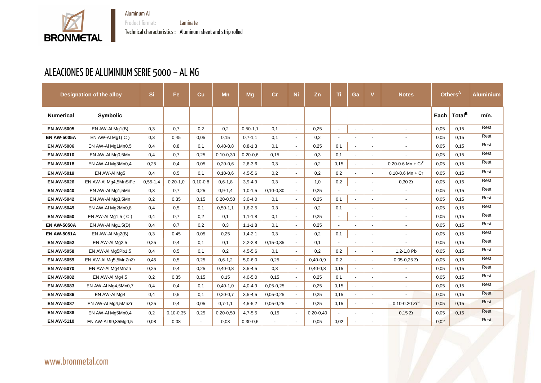

Aluminum Al Product format: **Laminate** Technical characteristics : Aluminum sheet and strip rolled

# ALEACIONES DE ALUMINIUM SERIE 5000 – AL MG

|                    | <b>Designation of the alloy</b> | <b>Si</b>  | Fe              | Cu         | Mn              | <b>Mg</b>     | cr              | <b>Ni</b>      | Zn          | <b>Ti</b>      | Ga                       | $\mathbf v$ | <b>Notes</b>         |      | Others <sup>A</sup> | <b>Aluminium</b> |
|--------------------|---------------------------------|------------|-----------------|------------|-----------------|---------------|-----------------|----------------|-------------|----------------|--------------------------|-------------|----------------------|------|---------------------|------------------|
| <b>Numerical</b>   | <b>Symbolic</b>                 |            |                 |            |                 |               |                 |                |             |                |                          |             |                      | Each | Total <sup>B</sup>  | mín.             |
| <b>EN AW-5005</b>  | EN AW-AI Mg1(B)                 | 0,3        | 0,7             | 0,2        | 0,2             | $0,50-1,1$    | 0,1             | $\blacksquare$ | 0,25        | $\blacksquare$ |                          |             | $\sim$               | 0,05 | 0,15                | Rest             |
| <b>EN AW-5005A</b> | EN AW-AI Mg1(C)                 | 0,3        | 0,45            | 0,05       | 0,15            | $0,7-1,1$     | 0,1             | $\blacksquare$ | 0,2         | $\sim$         | ۰.                       |             | $\sim$               | 0,05 | 0,15                | Rest             |
| <b>EN AW-5006</b>  | EN AW-AI Mg1Mn0,5               | 0,4        | 0,8             | 0,1        | $0,40-0,8$      | $0, 8 - 1, 3$ | 0,1             | $\sim$         | 0,25        | 0,1            | $\sim$                   |             |                      | 0,05 | 0,15                | Rest             |
| <b>EN AW-5010</b>  | EN AW-AI Mg0,5Mn                | 0,4        | 0,7             | 0,25       | $0, 10 - 0, 30$ | $0,20-0,6$    | 0,15            | $\blacksquare$ | 0,3         | 0,1            | $\blacksquare$           |             | $\sim$               | 0,05 | 0,15                | Rest             |
| <b>EN AW-5018</b>  | EN AW-AI Mg3Mn0,4               | 0,25       | 0,4             | 0,05       | $0,20-0,6$      | $2,6 - 3,6$   | 0,3             | $\sim$         | 0,2         | 0,15           | $\blacksquare$           |             | 0.20-0.6 Mn + $Cr^C$ | 0,05 | 0, 15               | Rest             |
| <b>EN AW-5019</b>  | EN AW-AI Mg5                    | 0,4        | 0,5             | 0,1        | $0,10-0,6$      | $4,5-5,6$     | 0,2             | $\sim$         | 0,2         | 0,2            | $\sim$                   | $\sim$      | $0.10 - 0.6$ Mn + Cr | 0,05 | 0,15                | Rest             |
| <b>EN AW-5026</b>  | EN AW-AI Mg4,5MnSiFe            | $0,55-1,4$ | $0,20-1,0$      | $0,10-0,8$ | $0, 6 - 1, 8$   | $3,9-4,9$     | 0,3             | $\sim$         | 1,0         | 0,2            | $\sim$                   |             | 0,30 Zr              | 0,05 | 0, 15               | Rest             |
| <b>EN AW-5040</b>  | EN AW-AI Mg1,5Mn                | 0,3        | 0,7             | 0,25       | $0, 9 - 1, 4$   | $1,0-1,5$     | $0,10-0,30$     | $\sim$         | 0,25        | $\blacksquare$ |                          |             |                      | 0,05 | 0,15                | Rest             |
| <b>EN AW-5042</b>  | EN AW-AI Mg3,5Mn                | 0,2        | 0,35            | 0,15       | $0,20-0,50$     | $3,0-4,0$     | 0,1             | $\sim$         | 0,25        | 0,1            | $\blacksquare$           |             | $\sim$               | 0,05 | 0,15                | Rest             |
| <b>EN AW-5049</b>  | EN AW-AI Mg2Mn0,8               | 0,4        | 0,5             | 0,1        | $0,50-1,1$      | $1,6 - 2,5$   | 0,3             | $\blacksquare$ | 0,2         | 0,1            |                          |             | $\sim$               | 0,05 | 0,15                | Rest             |
| <b>EN AW-5050</b>  | EN AW-Al Mg1,5 $(C)$            | 0,4        | 0,7             | 0,2        | 0,1             | $1, 1 - 1, 8$ | 0,1             | $\blacksquare$ | 0,25        | $\sim$         | $\blacksquare$           |             |                      | 0,05 | 0, 15               | Rest             |
| <b>EN AW-5050A</b> | EN AW-AI Mg1,5(D)               | 0,4        | 0,7             | 0,2        | 0,3             | $1, 1 - 1, 8$ | 0,1             | $\sim$         | 0,25        | $\sim$         | $\overline{\phantom{0}}$ |             |                      | 0,05 | 0,15                | Rest             |
| <b>EN AW-5051A</b> | EN AW-AI Mg2(B)                 | 0,3        | 0,45            | 0,05       | 0,25            | $1,4-2,1$     | 0,3             | $\sim$         | 0,2         | 0,1            | $\overline{\phantom{0}}$ |             | $\sim$               | 0,05 | 0,15                | Rest             |
| <b>EN AW-5052</b>  | EN AW-AI Mg2,5                  | 0,25       | 0,4             | 0,1        | 0,1             | $2,2-2,8$     | $0, 15 - 0, 35$ | $\blacksquare$ | 0,1         | $\sim$         | $\blacksquare$           |             |                      | 0,05 | 0,15                | Rest             |
| <b>EN AW-5058</b>  | EN AW-AI Mg5Pb1,5               | 0,4        | 0,5             | 0,1        | 0,2             | $4,5 - 5,6$   | 0,1             | $\sim$         | 0,2         | 0,2            |                          |             | 1,2-1,8 Pb           | 0,05 | 0,15                | Rest             |
| <b>EN AW-5059</b>  | EN AW-AI Mg5,5MnZnZr            | 0,45       | 0,5             | 0,25       | $0,6-1,2$       | $5,0-6,0$     | 0,25            | $\blacksquare$ | $0,40-0,9$  | 0,2            |                          |             | $0,05-0,25$ Zr       | 0,05 | 0,15                | Rest             |
| <b>EN AW-5070</b>  | EN AW-AI Mg4MnZn                | 0,25       | 0,4             | 0,25       | $0,40-0,8$      | $3,5-4,5$     | 0,3             | $\sim$         | $0,40-0,8$  | 0,15           | $\blacksquare$           |             | $\sim$               | 0,05 | 0,15                | Rest             |
| <b>EN AW-5082</b>  | EN AW-AI Mg4,5                  | 0,2        | 0,35            | 0,15       | 0,15            | $4,0-5,0$     | 0,15            | $\blacksquare$ | 0,25        | 0,1            | $\overline{\phantom{0}}$ |             | $\sim$               | 0,05 | 0,15                | Rest             |
| <b>EN AW-5083</b>  | EN AW-AI Mg4,5Mn0,7             | 0,4        | 0,4             | 0,1        | $0,40-1,0$      | $4,0-4,9$     | $0,05-0,25$     |                | 0,25        | 0, 15          |                          |             |                      | 0,05 | 0,15                | Rest             |
| <b>EN AW-5086</b>  | EN AW-AI Mg4                    | 0,4        | 0,5             | 0,1        | $0,20-0,7$      | $3,5-4,5$     | $0,05-0,25$     | $\sim$         | 0,25        | 0,15           | $\sim$                   | $\sim$      | $\sim$               | 0,05 | 0,15                | Rest             |
| <b>EN AW-5087</b>  | EN AW-AI Mg4,5MnZr              | 0,25       | 0,4             | 0,05       | $0,7-1,1$       | $4,5-5,2$     | $0,05-0,25$     | $\sim$         | 0,25        | 0,15           | $\sim$                   |             | 0.10-0.20 $Zr^C$     | 0,05 | 0,15                | Rest             |
| <b>EN AW-5088</b>  | EN AW-AI Mg5Mn0,4               | 0,2        | $0, 10 - 0, 35$ | 0,25       | $0,20-0,50$     | $4,7-5,5$     | 0,15            | $\blacksquare$ | $0,20-0,40$ | $\sim 10$      | $\sim$                   | $\sim$      | $0,15$ Zr            | 0,05 | 0,15                | Rest             |
| <b>EN AW-5110</b>  | EN AW-AI 99,85Mg0,5             | 0,08       | 0,08            | $\sim$     | 0,03            | $0,30-0,6$    | $\sim$          | $\sim$         | 0,05        | 0,02           |                          |             |                      | 0,02 | $\sim$              | Rest             |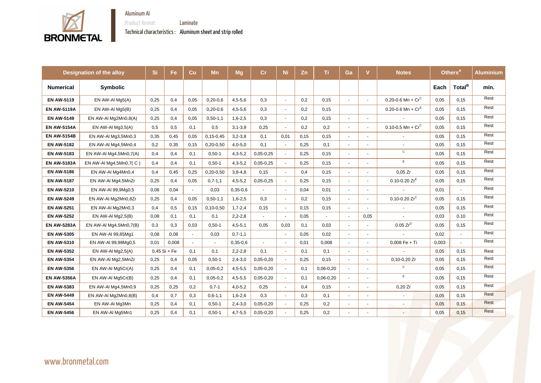

**BRONMETAL** 

Product format: **Laminate** 

Technical characteristics : Aluminum sheet and strip rolled

|                    | <b>Designation of the alloy</b> | <b>Si</b> | Fe             | Cu             | <b>Mn</b>       | <b>Mg</b>     | Cr            | Ni.            | Zn   | Ti.            | Ga                       | V              | <b>Notes</b>                  |       | Others <sup>A</sup> | <b>Aluminium</b> |
|--------------------|---------------------------------|-----------|----------------|----------------|-----------------|---------------|---------------|----------------|------|----------------|--------------------------|----------------|-------------------------------|-------|---------------------|------------------|
| <b>Numerical</b>   | <b>Symbolic</b>                 |           |                |                |                 |               |               |                |      |                |                          |                |                               | Each  | Total <sup>B</sup>  | mín.             |
| <b>EN AW-5119</b>  | EN AW-AI Mg5(A)                 | 0,25      | 0,4            | 0,05           | $0,20-0,6$      | $4,5-5,6$     | 0,3           | $\sim$         | 0,2  | 0,15           | $\sim$                   |                | 0.20-0.6 Mn + $Cr^C$          | 0,05  | 0,15                | Rest             |
| <b>EN AW-5119A</b> | EN AW-AI Mg5(B)                 | 0,25      | 0,4            | 0,05           | $0,20-0,6$      | $4,5-5,6$     | 0,3           | $\sim$         | 0,2  | 0,15           |                          |                | $0.20 - 0.6$ Mn + $Cr^E$      | 0,05  | 0,15                | Rest             |
| <b>EN AW-5149</b>  | EN AW-AI Mg2Mn0,8(A)            | 0,25      | 0,4            | 0,05           | $0,50-1,1$      | $1,6 - 2,5$   | 0,3           | $\sim$         | 0,2  | 0,15           |                          | $\sim$         |                               | 0,05  | 0,15                | Rest             |
| <b>EN AW-5154A</b> | EN AW-AI $Mg3,5(A)$             | 0,5       | 0,5            | 0,1            | 0,5             | $3, 1 - 3, 9$ | 0,25          | $\overline{a}$ | 0,2  | 0,2            | $\sim$                   |                | $0.10 - 0.5$ Mn + $Cr^C$      | 0,05  | 0,15                | Rest             |
| <b>EN AW-5154B</b> | EN AW-AI Mg3,5Mn0,3             | 0,35      | 0,45           | 0,05           | $0, 15 - 0, 45$ | $3,2-3,8$     | 0,1           | 0,01           | 0,15 | 0,15           |                          |                |                               | 0,05  | 0,15                | Rest             |
| <b>EN AW-5182</b>  | EN AW-AI Mg4,5Mn0,4             | 0,2       | 0,35           | 0,15           | $0,20-0,50$     | $4,0-5,0$     | 0,1           | $\sim$         | 0,25 | 0,1            |                          |                | $\blacksquare$                | 0,05  | 0,15                | Rest             |
| <b>EN AW-5183</b>  | EN AW-AI Mg4,5Mn0,7(A)          | 0,4       | 0,4            | 0,1            | $0,50-1$        | $4,3-5,2$     | $0,05-0,25$   | $\sim$         | 0,25 | 0,15           |                          |                | $\mathsf{C}$                  | 0,05  | 0,15                | Rest             |
| <b>EN AW-5183A</b> | EN AW-AI Mg4,5Mn0,7( C)         | 0,4       | 0,4            | 0,1            | $0,50-1$        | $4,3-5,2$     | $0,05-0,25$   | $\sim$         | 0,25 | 0,15           |                          |                | E                             | 0,05  | 0,15                | Rest             |
| <b>EN AW-5186</b>  | EN AW-AI Mg4Mn0,4               | 0,4       | 0,45           | 0,25           | $0,20-0,50$     | $3,8-4,8$     | 0,15          |                | 0,4  | 0,15           |                          |                | 0,05 Zr                       | 0,05  | 0,15                | Rest             |
| <b>EN AW-5187</b>  | EN AW-AI Mg4,5MnZr              | 0,25      | 0,4            | 0,05           | $0,7-1,1$       | $4,5-5,2$     | $0,05-0,25$   | $\sim$         | 0,25 | 0,15           |                          |                | $0.10 - 0.20$ Zr <sup>E</sup> | 0,05  | 0,15                | Rest             |
| <b>EN AW-5210</b>  | EN AW-AI 99,9Mg0,5              | 0,06      | 0,04           | $\blacksquare$ | 0,03            | $0,35-0,6$    |               | $\sim$         | 0,04 | 0,01           | $\sim$                   | $\sim$         |                               | 0,01  | $\blacksquare$      | Rest             |
| <b>EN AW-5249</b>  | EN AW-AI Mg2Mn0,8Zr             | 0,25      | 0,4            | 0,05           | $0,50-1,1$      | $1,6-2,5$     | 0,3           | $\sim$         | 0,2  | 0,15           |                          |                | 0.10-0.20 $Zr^C$              | 0,05  | 0,15                | Rest             |
| <b>EN AW-5251</b>  | EN AW-AI Mg2Mn0,3               | 0,4       | 0,5            | 0,15           | $0,10-0,50$     | $1,7-2,4$     | 0,15          | $\sim$         | 0,15 | 0,15           |                          |                | $\sim$                        | 0,05  | 0,15                | Rest             |
| <b>EN AW-5252</b>  | EN AW-AI Mg2,5(B)               | 0,08      | 0,1            | 0,1            | 0,1             | $2,2-2,8$     |               | $\sim$         | 0,05 | $\blacksquare$ | $\overline{\phantom{a}}$ | 0,05           |                               | 0,03  | 0,10                | Rest             |
| <b>EN AW-5283A</b> | EN AW-AI Mg4,5Mn0,7(B)          | 0,3       | 0,3            | 0,03           | $0,50-1$        | $4,5-5,1$     | 0,05          | 0,03           | 0,1  | 0,03           |                          |                | $0.05 Zr^D$                   | 0,05  | 0,15                | Rest             |
| <b>EN AW-5305</b>  | EN AW-AI 99,85Mg1               | 0,08      | 0,08           | $\sim$         | 0,03            | $0,7-1,1$     |               | $\blacksquare$ | 0,05 | 0,02           |                          |                |                               | 0,02  |                     | Rest             |
| <b>EN AW-5310</b>  | EN AW-AI 99,98Mg0,5             | 0,01      | 0,008          | $\sim$         | $\blacksquare$  | $0,35-0,6$    |               | $\sim$         | 0,01 | 0,008          |                          |                | $0,008$ Fe + Ti               | 0,003 |                     | Rest             |
| <b>EN AW-5352</b>  | EN AW-AI Mg2,5(A)               |           | $0,45$ Si + Fe | 0,1            | 0,1             | $2,2-2,8$     | 0,1           |                | 0,1  | 0,1            |                          |                |                               | 0,05  | 0,15                | Rest             |
| <b>EN AW-5354</b>  | EN AW-AI Mg2,5MnZr              | 0,25      | 0,4            | 0,05           | $0,50-1$        | $2,4-3,0$     | $0,05-0,20$   | $\sim$         | 0,25 | 0,15           |                          |                | $0,10-0,20$ Zr                | 0,05  | 0,15                | Rest             |
| <b>EN AW-5356</b>  | EN AW-AI Mg5Cr(A)               | 0,25      | 0,4            | 0,1            | $0,05-0,2$      | $4,5 - 5,5$   | $0,05-0,20$   |                | 0,1  | $0,06-0,20$    |                          |                | $\mathsf{C}$                  | 0,05  | 0,15                | Rest             |
| <b>EN AW-5356A</b> | EN AW-AI Mg5Cr(B)               | 0,25      | 0,4            | 0,1            | $0,05-0,2$      | $4,5-5,5$     | $0,05-0,20$   | $\sim$         | 0,1  | $0,06-0,20$    |                          | $\blacksquare$ | E                             | 0,05  | 0,15                | Rest             |
| <b>EN AW-5383</b>  | EN AW-AI Mg4,5Mn0,9             | 0,25      | 0,25           | 0,2            | $0,7-1$         | $4,0-5,2$     | 0,25          | $\sim$         | 0,4  | 0,15           |                          | $\sim$         | 0,20 Zr                       | 0,05  | 0,15                | Rest             |
| <b>EN AW-5449</b>  | EN AW-AI Mg2Mn0,8(B)            | 0,4       | 0,7            | 0,3            | $0, 6 - 1, 1$   | $1,6 - 2,6$   | 0,3           | $\sim$         | 0,3  | 0,1            | $\sim$                   | $\sim$         | $\blacksquare$                | 0,05  | 0,15                | Rest             |
| <b>EN AW-5454</b>  | EN AW-AI Mg3Mn                  | 0,25      | 0,4            | 0,1            | $0,50-1$        | $2,4-3,0$     | $0,05-0,20$   | $\sim$         | 0,25 | 0,2            | $\overline{\phantom{a}}$ | $\sim$         | $\sim$                        | 0,05  | 0,15                | Rest             |
| <b>EN AW-5456</b>  | EN AW-AI Mg5Mn1                 | 0,25      | 0,4            | 0,1            | $0,50-1$        | $4,7-5,5$     | $0,05 - 0,20$ | $\blacksquare$ | 0,25 | 0,2            |                          | $\sim$         | $\overline{\phantom{a}}$      | 0,05  | 0,15                | Rest             |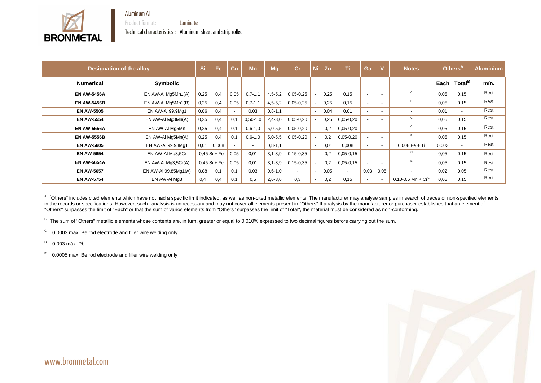

Product format: Laminate

Technical characteristics : Aluminum sheet and strip rolled





<sup>A</sup> "Others" includes cited elements which have not had a specific limit indicated, as well as non-cited metallic elements. The manufacturer may analyse samples in search of traces of non-specified elements in the records or specifications. However, such analysis is unnecessary and may not cover all elements present in "Others". If analysis by the manufacturer or purchaser establishes that an element of "Others" surpasses the limit of "Each" or that the sum of varios elements from "Others" surpasses the limit of "Total", the material must be considered as non-conforming.

B The sum of "Others" metallic elements whose contents are, in turn, greater or equal to 0.010% expressed to two decimal figures before carrying out the sum.

C 0.0003 max. Be rod electrode and filler wire welding only

D 0.003 máx. Pb.

E 0.0005 max. Be rod electrode and filler wire welding only

| <b>Designation of the alloy</b> |                      | Si   | Fe             | Cu     | <b>Mn</b>  | Mg            | <b>Cr</b>                | Ni.    | Zn   | Ti          | Ga     |        | <b>Notes</b>         |       | Others <sup>A</sup> | <b>Aluminium</b> |
|---------------------------------|----------------------|------|----------------|--------|------------|---------------|--------------------------|--------|------|-------------|--------|--------|----------------------|-------|---------------------|------------------|
| <b>Numerical</b>                | Symbolic             |      |                |        |            |               |                          |        |      |             |        |        |                      | Each  | Total <sup>B</sup>  | mín.             |
| <b>EN AW-5456A</b>              | EN AW-AI Mg5Mn1(A)   | 0,25 | 0,4            | 0,05   | $0,7-1,1$  | $4,5-5,2$     | $0,05-0,25$              |        | 0,25 | 0,15        | $\sim$ |        | $\mathsf{C}$         | 0,05  | 0,15                | Rest             |
| <b>EN AW-5456B</b>              | EN AW-AI Mg5Mn1(B)   | 0,25 | 0,4            | 0,05   | $0,7-1,1$  | $4,5-5,2$     | $0,05-0,25$              |        | 0,25 | 0,15        | $\sim$ |        |                      | 0,05  | 0,15                | Rest             |
| <b>EN AW-5505</b>               | EN AW-AI 99,9Mg1     | 0,06 | 0,4            | $\sim$ | 0,03       | $0, 8 - 1, 1$ |                          |        | 0,04 | 0,01        | $\sim$ |        |                      | 0.01  | $\blacksquare$      | Rest             |
| <b>EN AW-5554</b>               | EN AW-AI Mg3Mn(A)    | 0,25 | 0,4            | 0,1    | $0,50-1,0$ | $2,4-3,0$     | $0,05-0,20$              |        | 0,25 | $0,05-0,20$ | $\sim$ | $\sim$ | C                    | 0,05  | 0,15                | Rest             |
| <b>EN AW-5556A</b>              | EN AW-AI Mg5Mn       | 0,25 | 0,4            | 0,1    | $0,6-1,0$  | $5,0-5,5$     | $0,05-0,20$              |        | 0,2  | $0,05-0,20$ | $\sim$ |        | $\mathsf{C}$         | 0,05  | 0,15                | Rest             |
| <b>EN AW-5556B</b>              | EN AW-AI Mg5Mn(A)    | 0,25 | 0,4            | 0,1    | $0,6-1,0$  | $5,0-5,5$     | $0,05-0,20$              |        | 0,2  | $0,05-0,20$ |        |        |                      | 0,05  | 0,15                | Rest             |
| <b>EN AW-5605</b>               | EN AW-AI 99,98Mg1    | 0,01 | 0,008          | $\sim$ | $\sim$     | $0, 8 - 1, 1$ |                          | $\sim$ | 0,01 | 0,008       | $\sim$ | $\sim$ | $0,008$ Fe + Ti      | 0,003 |                     | Rest             |
| <b>EN AW-5654</b>               | EN AW-AI Mg3,5Cr     |      | $0,45$ Si + Fe | 0,05   | 0,01       | $3, 1 - 3, 9$ | $0, 15 - 0, 35$          |        | 0,2  | $0,05-0,15$ | $\sim$ | $\sim$ | C                    | 0,05  | 0,15                | Rest             |
| <b>EN AW-5654A</b>              | EN AW-AI Mg3,5Cr(A)  |      | $0,45$ Si + Fe | 0,05   | 0,01       | $3, 1 - 3, 9$ | $0, 15 - 0, 35$          |        | 0,2  | $0,05-0,15$ | $\sim$ |        |                      | 0,05  | 0,15                | Rest             |
| <b>EN AW-5657</b>               | EN AW-AI 99,85Mg1(A) | 0,08 | 0,1            | 0,1    | 0,03       | $0,6-1,0$     | $\overline{\phantom{a}}$ | $\sim$ | 0,05 | $\sim$      | 0,03   | 0,05   |                      | 0,02  | 0,05                | Rest             |
| <b>EN AW-5754</b>               | EN AW-AI Mg3         | 0,4  | 0,4            | 0,1    | 0,5        | $2,6 - 3,6$   | 0,3                      |        | 0,2  | 0,15        | $\sim$ |        | 0.10-0.6 Mn + $Cr^C$ | 0,05  | 0,15                | Rest             |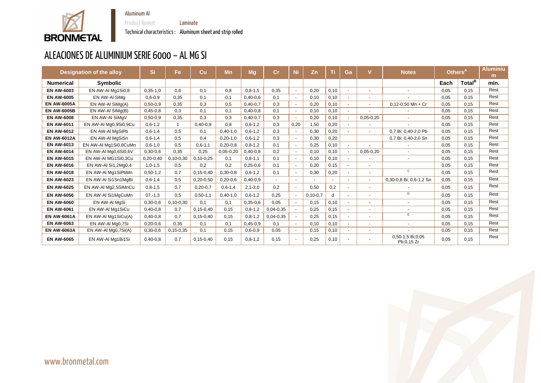

Technical characteristics : Aluminum sheet and strip rolled

Product format: **Laminate** 



# ALEACIONES DE ALUMINIUM SERIE 6000 – AL MG SI

|                    | <b>Designation of the alloy</b> | <b>Si</b>     | Fe              | Cu              | <b>Mn</b>   | <b>Mg</b>     | $\mathsf{Cr}$ |        | Zn         | π     | Ga             |                          | <b>Notes</b>                   | Others <sup>A</sup> |                    | <b>Aluminiu</b><br>m |
|--------------------|---------------------------------|---------------|-----------------|-----------------|-------------|---------------|---------------|--------|------------|-------|----------------|--------------------------|--------------------------------|---------------------|--------------------|----------------------|
| <b>Numerical</b>   | <b>Symbolic</b>                 |               |                 |                 |             |               |               |        |            |       |                |                          |                                | Each                | Total <sup>B</sup> | mín.                 |
| <b>EN AW-6003</b>  | EN AW-AI Mg1Si0,8               | $0,35-1,0$    | 0,6             | 0,1             | 0,8         | $0,8-1,5$     | 0,35          |        | 0,20       | 0,10  | $\mathbf{r}$   | $\overline{\phantom{a}}$ |                                | 0.05                | 0,15               | Rest                 |
| <b>EN AW-6005</b>  | EN AW-AI SiMg                   | $0.6 - 0.9$   | 0.35            | 0,1             | 0,1         | $0,40-0,6$    | 0,1           |        | 0,10       | 0,10  | $\blacksquare$ | $\overline{\phantom{0}}$ |                                | 0.05                | 0,15               | Rest                 |
| <b>EN AW-6005A</b> | EN AW-AI SiMg(A)                | $0,50-0,9$    | 0,35            | 0,3             | 0,5         | $0,40-0,7$    | 0,3           | $\sim$ | 0,20       | 0,10  | $\blacksquare$ |                          | $0,12-0,50$ Mn + Cr            | 0,05                | 0,15               | Rest                 |
| <b>EN AW-6005B</b> | EN AW-AI SIMg(B)                | $0,45-0,8$    | 0,3             | 0,1             | 0,1         | $0,40-0,8$    | 0,1           |        | 0,10       | 0,10  | $\blacksquare$ |                          |                                | 0.05                | 0,15               | Rest                 |
| <b>EN AW-6008</b>  | EN AW-AI SiMgV                  | $0,50-0,9$    | 0,35            | 0,3             | 0,3         | $0,40-0,7$    | 0,3           |        | 0,20       | 0,10  | $\sim$         | $0,05-0,20$              |                                | 0,05                | 0,15               | Rest                 |
| <b>EN AW-6011</b>  | EN AW-AI Mg0,9Si0,9Cu           | $0,6-1,2$     |                 | $0,40-0,9$      | 0,8         | $0,6-1,2$     | 0,3           | 0,20   | 1,50       | 0,20  |                |                          |                                | 0.05                | 0,15               | Rest                 |
| <b>EN AW-6012</b>  | EN AW-AI MgSiPb                 | $0,6-1,4$     | 0,5             | 0,1             | $0,40-1,0$  | $0,6-1,2$     | 0,3           |        | 0,30       | 0,20  | $\sim$         |                          | 0,7 Bi; 0,40-2,0 Pb            | 0.05                | 0,15               | Rest                 |
| <b>EN AW-6012A</b> | EN AW-AI MgSiSn                 | $0,6-1,4$     | 0,5             | 0,4             | $0,20-1,0$  | $0,6-1,2$     | 0,3           |        | 0,30       | 0,20  |                |                          | 0,7 Bi; 0,40-2,0 Sn            | 0,05                | 0,15               | Rest                 |
| <b>EN AW-6013</b>  | EN AW-AI Mg1Si0,8CuMn           | $0, 6 - 1, 0$ | 0,5             | $0, 6 - 1, 1$   | $0,20-0,8$  | $0, 8 - 1, 2$ | 0,1           |        | 0,25       | 0,10  | $\sim$         |                          |                                | 0,05                | 0,15               | Rest                 |
| <b>EN AW-6014</b>  | EN AW-AI Mg0,6Si0,6V            | $0,30-0,6$    | 0,35            | 0,25            | $0,05-0,20$ | $0,40-0,8$    | 0,2           |        | 0,10       | 0,10  |                | $0,05-0,20$              |                                | 0,05                | 0,15               | Rest                 |
| <b>EN AW-6015</b>  | EN AW-AI MG1Si0,3Cu             | $0,20-0,40$   | $0, 10 - 0, 30$ | $0,10-0,25$     | 0,1         | $0, 8 - 1, 1$ | 0,1           |        | 0,10       | 0,10  | $\blacksquare$ |                          |                                | 0,05                | 0,15               | Rest                 |
| <b>EN AW-6016</b>  | EN AW-AI Si1,2Mg0,4             | $1,0-1,5$     | 0,5             | 0,2             | 0,2         | $0,25-0,6$    | 0,1           |        | 0,20       | 0,15  | $\sim$         |                          |                                | 0,05                | 0,15               | Rest                 |
| <b>EN AW-6018</b>  | EN AW-AI Mg1SiPbMn              | $0,50-1,2$    | 0,7             | $0, 15 - 0, 40$ | $0,30-0,8$  | $0,6-1,2$     | 0,1           |        | 0,30       | 0,20  | $\sim$         |                          | $\mathsf{C}$                   | 0.05                | 0,15               | Rest                 |
| <b>EN AW-6023</b>  | EN AW-AI Si1Sn1MgBi             | $0,6-1,4$     | 0,5             | $0,20-0,50$     | $0,20-0,6$  | $0,40-0,9$    |               | $\sim$ |            |       | $\mathbf{r}$   |                          | 0,30-0,8 Bi; 0,6-1,2 Sn        | 0.05                | 0,15               | Rest                 |
| <b>EN AW-6025</b>  | EN AW-AI Mg2,5SiMnCu            | $0, 8 - 1, 5$ | 0,7             | $0,20-0,7$      | $0,6-1,4$   | $2,1 - 3,0$   | 0,2           |        | 0,50       | 0,2   | $\sim$         | $\sim$                   |                                | 0,05                | 0,15               | Rest                 |
| <b>EN AW-6056</b>  | EN AW-AI Si1MgCuMn              | $07,-1,3$     | 0,5             | $0,50-1,1$      | $0,40-1,0$  | $0,6-1,2$     | 0,25          |        | $0,10-0,7$ | d     |                |                          | D                              | 0,05                | 0,15               | Rest                 |
| <b>EN AW-6060</b>  | EN AW-AI MgSi                   | $0,30-0,6$    | $0, 10 - 0, 30$ | 0,1             | 0,1         | $0,35-0,6$    | 0,05          |        | 0,15       | 0, 10 | $\mathbf{r}$   |                          |                                | 0.05                | 0,15               | Rest                 |
| <b>EN AW-6061</b>  | EN AW-AI Mg1SiCu                | $0,40-0,8$    | 0,7             | $0, 15 - 0, 40$ | 0,15        | $0, 8 - 1, 2$ | $0,04-0,35$   |        | 0,25       | 0,15  |                |                          |                                | 0.05                | 0,15               | Rest                 |
| <b>EN AW-6061A</b> | EN AW-AI Mg1SiCu(A)             | $0,40-0,8$    | 0,7             | $0, 15 - 0, 40$ | 0,15        | $0, 8 - 1, 2$ | $0,04-0,35$   |        | 0,25       | 0,15  | $\blacksquare$ |                          | E                              | 0,05                | 0,15               | Rest                 |
| <b>EN AW-6063</b>  | EN AW-AI Mg0,7Si                | $0,20-0,6$    | 0,35            | 0,1             | 0,1         | $0,45-0,9$    | 0,1           |        | 0,10       | 0, 10 | $\sim$         |                          | $\sim$                         | 0,05                | 0,15               | Rest                 |
| <b>EN AW-6063A</b> | EN AW-AI Mg0,7Si(A)             | $0,30-0,6$    | $0, 15 - 0, 35$ | 0,1             | 0,15        | $0,6 - 0,9$   | 0,05          |        | 0,15       | 0,10  | $\blacksquare$ | $\sim$                   |                                | 0,05                | 0,15               | Rest                 |
| <b>EN AW-6065</b>  | EN AW-AI Mg1Bi1Si               | $0,40-0,8$    | 0,7             | $0, 15 - 0, 40$ | 0,15        | $0, 8 - 1, 2$ | 0,15          |        | 0,25       | 0,10  | ٠              |                          | 0,50-1,5 Bi;0,05<br>Pb;0,15 Zr | 0,05                | 0,15               | Rest                 |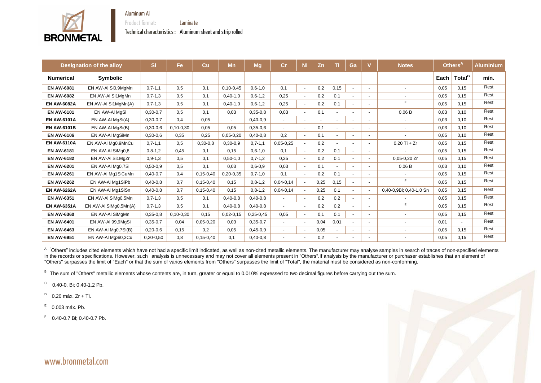

**BRONMETAL** 

Product format: Laminate

Technical characteristics : Aluminum sheet and strip rolled



|                    | <b>Designation of the alloy</b> | Si            | <b>Fe</b>       | Cu              | <b>Mn</b>       | <b>Mg</b>     | Cr          | Ni                       | Zn     | Ti   | Ga                       |                          | <b>Notes</b>            |      | Others <sup>A</sup> | <b>Aluminium</b> |
|--------------------|---------------------------------|---------------|-----------------|-----------------|-----------------|---------------|-------------|--------------------------|--------|------|--------------------------|--------------------------|-------------------------|------|---------------------|------------------|
| <b>Numerical</b>   | <b>Symbolic</b>                 |               |                 |                 |                 |               |             |                          |        |      |                          |                          |                         | Each | Total <sup>B</sup>  | mín.             |
| <b>EN AW-6081</b>  | EN AW-AI Si0,9MgMn              | $0,7-1,1$     | 0,5             | 0,1             | $0, 10 - 0, 45$ | $0, 6 - 1, 0$ | 0,1         | $\sim$                   | 0,2    | 0,15 | $\sim$                   | $\overline{\phantom{a}}$ |                         | 0,05 | 0,15                | Rest             |
| <b>EN AW-6082</b>  | EN AW-AI Si1MgMn                | $0,7-1,3$     | 0,5             | 0,1             | $0,40-1,0$      | $0, 6 - 1, 2$ | 0,25        | $\blacksquare$           | 0,2    | 0,1  | $\sim$                   | $\blacksquare$           |                         | 0,05 | 0,15                | Rest             |
| <b>EN AW-6082A</b> | EN AW-AI Si1MgMn(A)             | $0,7-1,3$     | 0,5             | 0,1             | $0,40-1,0$      | $0, 6 - 1, 2$ | 0,25        | $\sim$                   | 0,2    | 0,1  | $\sim$                   | $\overline{\phantom{0}}$ | E                       | 0,05 | 0,15                | Rest             |
| <b>EN AW-6101</b>  | EN AW-AI MgSi                   | $0,30-0,7$    | 0,5             | 0,1             | 0,03            | $0,35-0,8$    | 0,03        | $\overline{\phantom{a}}$ | 0,1    |      | $\overline{a}$           | $\blacksquare$           | 0,06B                   | 0,03 | 0,10                | Rest             |
| <b>EN AW-6101A</b> | EN AW-AI MgSi(A)                | $0,30-0,7$    | 0,4             | 0,05            |                 | $0,40-0,9$    |             |                          | $\sim$ |      | $\overline{\phantom{a}}$ |                          |                         | 0,03 | 0,10                | Rest             |
| <b>EN AW-6101B</b> | EN AW-AI MgSi(B)                | $0,30-0,6$    | $0, 10 - 0, 30$ | 0,05            | 0,05            | $0,35-0,6$    | $\sim$      | $\sim$                   | 0,1    |      | $\overline{\phantom{a}}$ | $\blacksquare$           |                         | 0,03 | 0,10                | Rest             |
| <b>EN AW-6106</b>  | EN AW-AI MgSiMn                 | $0,30-0,6$    | 0,35            | 0,25            | $0,05-0,20$     | $0,40-0,8$    | 0,2         | $\overline{a}$           | 0,1    |      | $\overline{\phantom{a}}$ | $\blacksquare$           |                         | 0,05 | 0,10                | Rest             |
| <b>EN AW-6110A</b> | EN AW-AI Mg0,9MnCu              | $0,7-1,1$     | 0,5             | $0,30-0,8$      | $0,30-0,9$      | $0,7-1,1$     | $0,05-0,25$ | $\overline{\phantom{a}}$ | 0,2    |      | $\sim$                   | $\blacksquare$           | $0,20$ Ti + Zr          | 0,05 | 0,15                | Rest             |
| <b>EN AW-6181</b>  | EN AW-AI SiMg0,8                | $0, 8 - 1, 2$ | 0,45            | 0,1             | 0,15            | $0, 6 - 1, 0$ | 0,1         | $\sim$                   | 0,2    | 0,1  | $\sim$                   | $\blacksquare$           |                         | 0,05 | 0,15                | Rest             |
| <b>EN AW-6182</b>  | EN AW-AI Si1MgZr                | $0, 9 - 1, 3$ | 0,5             | 0,1             | $0,50-1,0$      | $0,7-1,2$     | 0,25        | $\blacksquare$           | 0,2    | 0,1  | $\blacksquare$           |                          | $0,05-0,20$ Zr          | 0,05 | 0,15                | Rest             |
| <b>EN AW-6201</b>  | EN AW-AI Mg0,7Si                | $0,50-0,9$    | 0,5             | 0,1             | 0,03            | $0,6 - 0,9$   | 0,03        | $\blacksquare$           | 0,1    |      | $\overline{\phantom{a}}$ | ۰.                       | 0,06B                   | 0,03 | 0,10                | Rest             |
| <b>EN AW-6261</b>  | EN AW-AI Mg1SiCuMn              | $0,40-0,7$    | 0,4             | $0, 15 - 0, 40$ | $0,20-0,35$     | $0,7-1,0$     | 0,1         | $\overline{\phantom{a}}$ | 0,2    | 0,1  | $\overline{\phantom{a}}$ |                          |                         | 0,05 | 0,15                | Rest             |
| <b>EN AW-6262</b>  | EN AW-AI Mg1SiPb                | $0,40-0,8$    | 0,7             | $0, 15 - 0, 40$ | 0,15            | $0, 8 - 1, 2$ | $0,04-0,14$ | $\overline{\phantom{a}}$ | 0,25   | 0,15 | $\sim$                   | $\overline{a}$           | F                       | 0,05 | 0,15                | Rest             |
| <b>EN AW-6262A</b> | EN AW-AI Mg1SiSn                | $0,40-0,8$    | 0,7             | $0, 15 - 0, 40$ | 0,15            | $0, 8 - 1, 2$ | $0,04-0,14$ | $\sim$                   | 0,25   | 0,1  | $\sim$                   |                          | 0,40-0,9Bi; 0,40-1,0 Sn | 0,05 | 0,15                | Rest             |
| <b>EN AW-6351</b>  | EN AW-AI SiMg0,5Mn              | $0,7-1,3$     | 0,5             | 0,1             | $0,40-0,8$      | $0,40-0,8$    |             |                          | 0,2    | 0,2  | $\overline{\phantom{a}}$ |                          |                         | 0,05 | 0,15                | Rest             |
| <b>EN AW-6351A</b> | EN AW-AI SiMg0,5Mn(A)           | $0,7-1,3$     | 0,5             | 0,1             | $0,40-0,8$      | $0,40-0,8$    |             | $\blacksquare$           | 0,2    | 0,2  | $\overline{\phantom{a}}$ | ۰.                       | E                       | 0,05 | 0,15                | Rest             |
| <b>EN AW-6360</b>  | EN AW-AI SiMgMn                 | $0,35-0,8$    | $0, 10 - 0, 30$ | 0,15            | $0,02-0,15$     | $0,25-0,45$   | 0,05        | $\blacksquare$           | 0,1    | 0,1  | $\sim$                   | $\overline{\phantom{a}}$ |                         | 0,05 | 0,15                | Rest             |
| <b>EN AW-6401</b>  | EN AW-AI 99,9MgSi               | $0,35-0,7$    | 0,04            | $0,05-0,20$     | 0,03            | $0,35-0,7$    | $\sim$      | $\sim$                   | 0,04   | 0,01 | $\sim$                   | $\overline{\phantom{a}}$ |                         | 0,01 |                     | Rest             |
| <b>EN AW-6463</b>  | EN AW-AI Mg0,7Si(B)             | $0,20-0,6$    | 0,15            | 0,2             | 0,05            | $0,45-0,9$    |             | $\sim$                   | 0,05   |      | $\overline{\phantom{a}}$ |                          |                         | 0,05 | 0,15                | Rest             |
| <b>EN AW-6951</b>  | EN AW-AI MgSi0,3Cu              | $0,20-0,50$   | 0,8             | $0, 15 - 0, 40$ | 0,1             | $0,40-0,8$    |             |                          | 0,2    |      |                          |                          |                         | 0,05 | 0,15                | Rest             |

<sup>A</sup> "Others" includes cited elements which have not had a specific limit indicated, as well as non-cited metallic elements. The manufacturer may analyse samples in search of traces of non-specified elements in the records or specifications. However, such analysis is unnecessary and may not cover all elements present in "Others". If analysis by the manufacturer or purchaser establishes that an element of "Others" surpasses the limit of "Each" or that the sum of varios elements from "Others" surpasses the limit of "Total", the material must be considered as non-conforming.

B The sum of "Others" metallic elements whose contents are, in turn, greater or equal to 0.010% expressed to two decimal figures before carrying out the sum.

C 0.40-0. Bi; 0.40-1.2 Pb.

D 0.20 máx. Zr + Ti.

<sup>E</sup> 0.003 máx. Pb.

F 0.40-0.7 Bi; 0.40-0.7 Pb.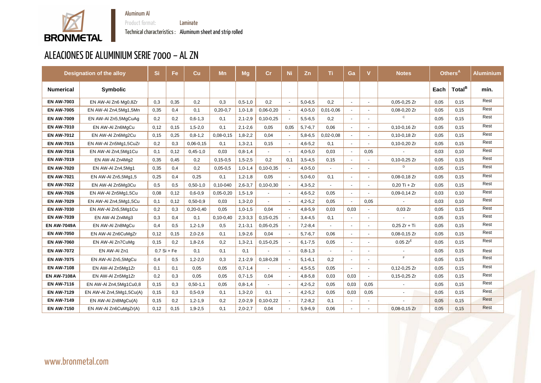

Technical characteristics : Aluminum sheet and strip rolled

Product format: **Laminate** 

# ALEACIONES DE ALUMINIUM SERIE 7000 – AL ZN

|                    | <b>Designation of the alloy</b> | Si   | Fe            | $\mathbf{C}\mathbf{u}$ | <b>Mn</b>      | <b>Mg</b>     | cr              | <b>Ni</b>                | Zn            | Τi          | Ga                       |                | <b>Notes</b>             |      | Others <sup>A</sup> | <b>Aluminium</b> |
|--------------------|---------------------------------|------|---------------|------------------------|----------------|---------------|-----------------|--------------------------|---------------|-------------|--------------------------|----------------|--------------------------|------|---------------------|------------------|
| <b>Numerical</b>   | <b>Symbolic</b>                 |      |               |                        |                |               |                 |                          |               |             |                          |                |                          | Each | Total <sup>B</sup>  | mín.             |
| <b>EN AW-7003</b>  | EN AW-AI Zn6 Mg0,8Zr            | 0,3  | 0,35          | 0,2                    | 0,3            | $0, 5 - 1, 0$ | 0,2             | $\sim$                   | $5,0-6,5$     | 0,2         | $\sim$                   | $\sim$         | $0,05-0,25$ Zr           | 0,05 | 0,15                | Rest             |
| <b>EN AW-7005</b>  | EN AW-AI Zn4,5Mg1,5Mn           | 0,35 | 0,4           | 0,1                    | $0,20-0,7$     | $1,0-1,8$     | $0,06-0,20$     | $\sim$                   | $4,0-5,0$     | $0,01-0,06$ | $\sim$                   | $\sim$         | $0,08-0,20$ Zr           | 0,05 | 0,15                | Rest             |
| <b>EN AW-7009</b>  | EN AW-AI Zn5,5MgCuAg            | 0,2  | 0,2           | $0,6-1,3$              | 0,1            | $2, 1 - 2, 9$ | $0,10-0,25$     | $\sim$                   | $5,5-6,5$     | 0,2         | $\sim$                   | $\sim$         | C                        | 0,05 | 0,15                | Rest             |
| <b>EN AW-7010</b>  | EN AW-AI Zn6MgCu                | 0,12 | 0,15          | $1,5-2,0$              | 0,1            | $2, 1 - 2, 6$ | 0,05            | 0,05                     | $5,7-6,7$     | 0,06        | $\sim$                   | $\sim$         | $0, 10 - 0, 16$ Zr       | 0,05 | 0,15                | Rest             |
| <b>EN AW-7012</b>  | EN AW-AI Zn6Mg2Cu               | 0,15 | 0,25          | $0, 8 - 1, 2$          | $0,08 - 0,15$  | $1,8-2,2$     | 0,04            | $\sim$                   | $5,8-6,5$     | $0,02-0,08$ | $\sim$                   | $\sim$         | $0, 10 - 0, 18$ Zr       | 0,05 | 0,15                | Rest             |
| <b>EN AW-7015</b>  | EN AW-AI Zn5Mg1,5CuZr           | 0,2  | 0,3           | $0,06-0,15$            | 0,1            | $1,3-2,1$     | 0,15            | $\sim$                   | $4,6 - 5,2$   | 0,1         | $\sim$                   | $\sim$         | $0,10-0,20$ Zr           | 0,05 | 0,15                | Rest             |
| <b>EN AW-7016</b>  | EN AW-AI Zn4,5Mg1Cu             | 0,1  | 0,12          | $0,45-1,0$             | 0,03           | $0, 8 - 1, 4$ |                 | $\sim$                   | $4,0-5,0$     | 0,03        | $\sim$                   | 0,05           |                          | 0,03 | 0,10                | Rest             |
| <b>EN AW-7019</b>  | EN AW-AI Zn4Mg2                 | 0,35 | 0,45          | 0,2                    | $0, 15 - 0, 5$ | $1,5-2,5$     | 0,2             | 0,1                      | $3,5-4,5$     | 0,15        | $\sim$                   | $\sim$         | $0,10-0,25$ Zr           | 0,05 | 0,15                | Rest             |
| <b>EN AW-7020</b>  | EN AW-AI Zn4,5Mg1               | 0,35 | 0,4           | 0,2                    | $0,05-0,5$     | $1,0-1,4$     | $0,10-0,35$     | $\sim$                   | $4,0-5,0$     |             | $\blacksquare$           | $\sim$         | D                        | 0,05 | 0,15                | Rest             |
| <b>EN AW-7021</b>  | EN AW-AI Zn5,5Mg1,5             | 0,25 | 0,4           | 0,25                   | 0,1            | $1, 2 - 1, 8$ | 0,05            | $\overline{\phantom{a}}$ | $5,0-6,0$     | 0,1         | $\blacksquare$           | $\sim$         | $0,08-0,18$ Zr           | 0,05 | 0,15                | Rest             |
| <b>EN AW-7022</b>  | EN AW-AI Zn5Mg3Cu               | 0,5  | 0,5           | $0,50-1,0$             | $0,10-040$     | $2,6-3,7$     | $0, 10 - 0, 30$ | $\sim$                   | $4,3-5,2$     |             | $\blacksquare$           | $\sim$         | $0,20$ Ti + Zr           | 0,05 | 0,15                | Rest             |
| <b>EN AW-7026</b>  | EN AW-AI Zn5Mg1,5Cu             | 0,08 | 0,12          | $0,6 - 0,9$            | $0,05-0,20$    | $1, 5 - 1, 9$ |                 | $\sim$                   | $4,6-5,2$     | 0,05        | $\sim$                   | $\sim$         | $0,09-0,14$ Zr           | 0,03 | 0,10                | Rest             |
| <b>EN AW-7029</b>  | EN AW-AI Zn4,5Mg1,5Cu           | 0,1  | 0,12          | $0,50-0,9$             | 0,03           | $1,3-2,0$     |                 | $\sim$                   | $4,2-5,2$     | 0,05        | $\mathbf{u}$             | 0,05           |                          | 0,03 | 0,10                | Rest             |
| <b>EN AW-7030</b>  | EN AW-AI Zn5,5Mg1Cu             | 0,2  | 0,3           | $0,20-0,40$            | 0,05           | $1,0-1,5$     | 0,04            | $\sim$                   | $4,8-5,9$     | 0,03        | 0,03                     | $\sim$         | 0,03 Zr                  | 0,05 | 0,15                | Rest             |
| <b>EN AW-7039</b>  | EN AW-AI Zn4Mg3                 | 0,3  | 0,4           | 0,1                    | $0,10-0,40$    | $2,3-3,3$     | $0, 15 - 0, 25$ | $\sim$                   | $3,4-4,5$     | 0,1         | $\sim$                   | $\blacksquare$ |                          | 0,05 | 0,15                | Rest             |
| <b>EN AW-7049A</b> | EN AW-AI Zn8MgCu                | 0,4  | 0,5           | $1, 2 - 1, 9$          | 0,5            | $2, 1 - 3, 1$ | $0,05-0,25$     | $\sim$                   | $7,2 - 8,4$   |             | $\sim$                   | $\sim$         | $0,25 Zr + Ti$           | 0,05 | 0,15                | Rest             |
| <b>EN AW-7050</b>  | EN AW-AI Zn6CuMgZr              | 0,12 | 0,15          | $2,0-2,6$              | 0,1            | $1,9-2,6$     | 0,04            | $\sim$                   | $5,7-6,7$     | 0,06        | $\blacksquare$           | $\blacksquare$ | $0,08-0,15$ Zr           | 0,05 | 0,15                | Rest             |
| <b>EN AW-7060</b>  | EN AW-AI Zn7CuMg                | 0,15 | 0,2           | $1,8-2,6$              | 0,2            | $1,3-2,1$     | $0, 15 - 0, 25$ | $\sim$                   | $6, 1 - 7, 5$ | 0,05        | $\sim$                   | $\sim$         | $0.05 Zr^E$              | 0,05 | 0,15                | Rest             |
| <b>EN AW-7072</b>  | EN AW-AI Zn1                    |      | $0,7$ Si + Fe | 0,1                    | 0,1            | 0,1           |                 | $\sim$                   | $0, 8 - 1, 3$ |             | $\overline{\phantom{a}}$ |                | $\overline{\phantom{a}}$ | 0,05 | 0,15                | Rest             |
| <b>EN AW-7075</b>  | EN AW-AI Zn5,5MgCu              | 0,4  | 0,5           | $1,2-2,0$              | 0,3            | $2,1-2,9$     | $0,18-0,28$     | $\sim$                   | $5, 1 - 6, 1$ | 0,2         | $\blacksquare$           | $\blacksquare$ | F                        | 0,05 | 0,15                | Rest             |
| <b>EN AW-7108</b>  | EN AW-AI Zn5Mg1Zr               | 0,1  | 0,1           | 0,05                   | 0,05           | $0,7-1,4$     |                 | $\sim$                   | $4,5-5,5$     | 0,05        |                          |                | $0,12-0,25$ Zr           | 0,05 | 0,15                | Rest             |
| <b>EN AW-7108A</b> | EN AW-AI Zn5Mg1Zr               | 0,2  | 0,3           | 0,05                   | 0,05           | $0,7-1,5$     | 0,04            | $\blacksquare$           | $4,8-5,8$     | 0,03        | 0,03                     | $\sim$         | $0, 15 - 0, 25$ Zr       | 0,05 | 0,15                | Rest             |
| <b>EN AW-7116</b>  | EN AW-AI Zn4,5Mg1Cu0,8          | 0,15 | 0,3           | $0,50-1,1$             | 0,05           | $0, 8 - 1, 4$ | $\sim$          | $\sim$                   | $4,2-5,2$     | 0,05        | 0,03                     | 0,05           |                          | 0,05 | 0,15                | Rest             |
| <b>EN AW-7129</b>  | EN AW-AI Zn4,5Mg1,5Cu(A)        | 0,15 | 0,3           | $0, 5 - 0, 9$          | 0,1            | $1,3-2,0$     | 0,1             | $\sim$                   | $4,2-5,2$     | 0,05        | 0,03                     | 0,05           | $\sim$                   | 0,05 | 0,15                | Rest             |
| <b>EN AW-7149</b>  | EN AW-AI Zn8MgCu(A)             | 0,15 | 0,2           | $1,2-1,9$              | 0,2            | $2,0-2,9$     | $0,10-0,22$     | $\sim$                   | $7,2 - 8,2$   | 0,1         | $\sim$                   | $\sim$         | $\overline{\phantom{a}}$ | 0,05 | 0,15                | Rest             |
| <b>EN AW-7150</b>  | EN AW-AI Zn6CuMgZr(A)           | 0,12 | 0,15          | $1,9-2,5$              | 0,1            | $2,0-2,7$     | 0,04            | $\sim$                   | $5,9-6,9$     | 0,06        | $\sim$                   | $\blacksquare$ | $0,08-0,15$ Zr           | 0,05 | 0,15                | Rest             |